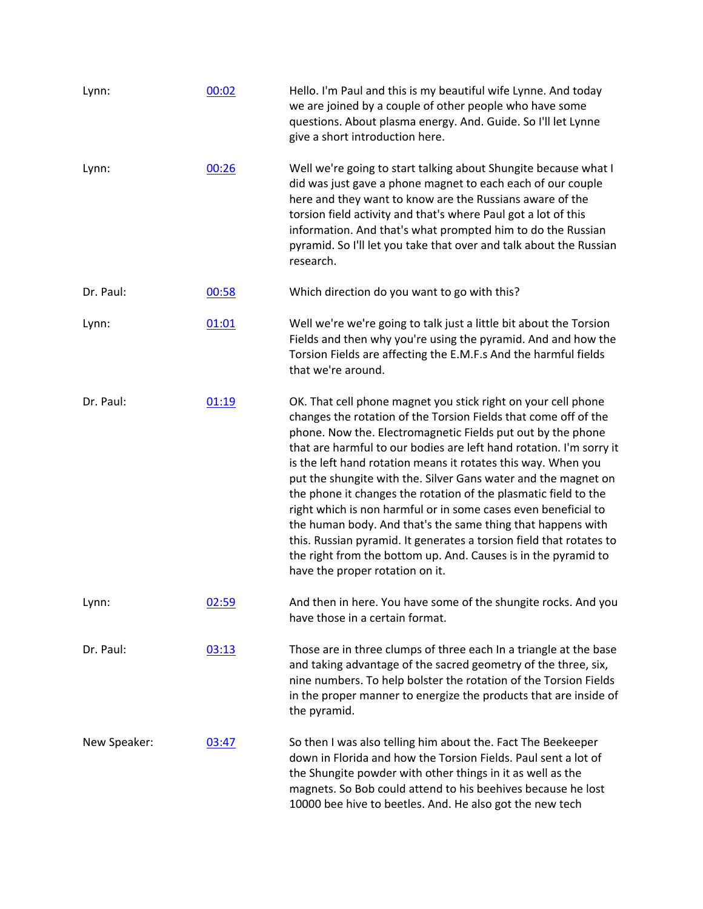| Lynn:        | 00:02 | Hello. I'm Paul and this is my beautiful wife Lynne. And today<br>we are joined by a couple of other people who have some<br>questions. About plasma energy. And. Guide. So I'll let Lynne<br>give a short introduction here.                                                                                                                                                                                                                                                                                                                                                                                                                                                                                                                                                             |
|--------------|-------|-------------------------------------------------------------------------------------------------------------------------------------------------------------------------------------------------------------------------------------------------------------------------------------------------------------------------------------------------------------------------------------------------------------------------------------------------------------------------------------------------------------------------------------------------------------------------------------------------------------------------------------------------------------------------------------------------------------------------------------------------------------------------------------------|
| Lynn:        | 00:26 | Well we're going to start talking about Shungite because what I<br>did was just gave a phone magnet to each each of our couple<br>here and they want to know are the Russians aware of the<br>torsion field activity and that's where Paul got a lot of this<br>information. And that's what prompted him to do the Russian<br>pyramid. So I'll let you take that over and talk about the Russian<br>research.                                                                                                                                                                                                                                                                                                                                                                            |
| Dr. Paul:    | 00:58 | Which direction do you want to go with this?                                                                                                                                                                                                                                                                                                                                                                                                                                                                                                                                                                                                                                                                                                                                              |
| Lynn:        | 01:01 | Well we're we're going to talk just a little bit about the Torsion<br>Fields and then why you're using the pyramid. And and how the<br>Torsion Fields are affecting the E.M.F.s And the harmful fields<br>that we're around.                                                                                                                                                                                                                                                                                                                                                                                                                                                                                                                                                              |
| Dr. Paul:    | 01:19 | OK. That cell phone magnet you stick right on your cell phone<br>changes the rotation of the Torsion Fields that come off of the<br>phone. Now the. Electromagnetic Fields put out by the phone<br>that are harmful to our bodies are left hand rotation. I'm sorry it<br>is the left hand rotation means it rotates this way. When you<br>put the shungite with the. Silver Gans water and the magnet on<br>the phone it changes the rotation of the plasmatic field to the<br>right which is non harmful or in some cases even beneficial to<br>the human body. And that's the same thing that happens with<br>this. Russian pyramid. It generates a torsion field that rotates to<br>the right from the bottom up. And. Causes is in the pyramid to<br>have the proper rotation on it. |
| Lynn:        | 02:59 | And then in here. You have some of the shungite rocks. And you<br>have those in a certain format.                                                                                                                                                                                                                                                                                                                                                                                                                                                                                                                                                                                                                                                                                         |
| Dr. Paul:    | 03:13 | Those are in three clumps of three each In a triangle at the base<br>and taking advantage of the sacred geometry of the three, six,<br>nine numbers. To help bolster the rotation of the Torsion Fields<br>in the proper manner to energize the products that are inside of<br>the pyramid.                                                                                                                                                                                                                                                                                                                                                                                                                                                                                               |
| New Speaker: | 03:47 | So then I was also telling him about the. Fact The Beekeeper<br>down in Florida and how the Torsion Fields. Paul sent a lot of<br>the Shungite powder with other things in it as well as the<br>magnets. So Bob could attend to his beehives because he lost<br>10000 bee hive to beetles. And. He also got the new tech                                                                                                                                                                                                                                                                                                                                                                                                                                                                  |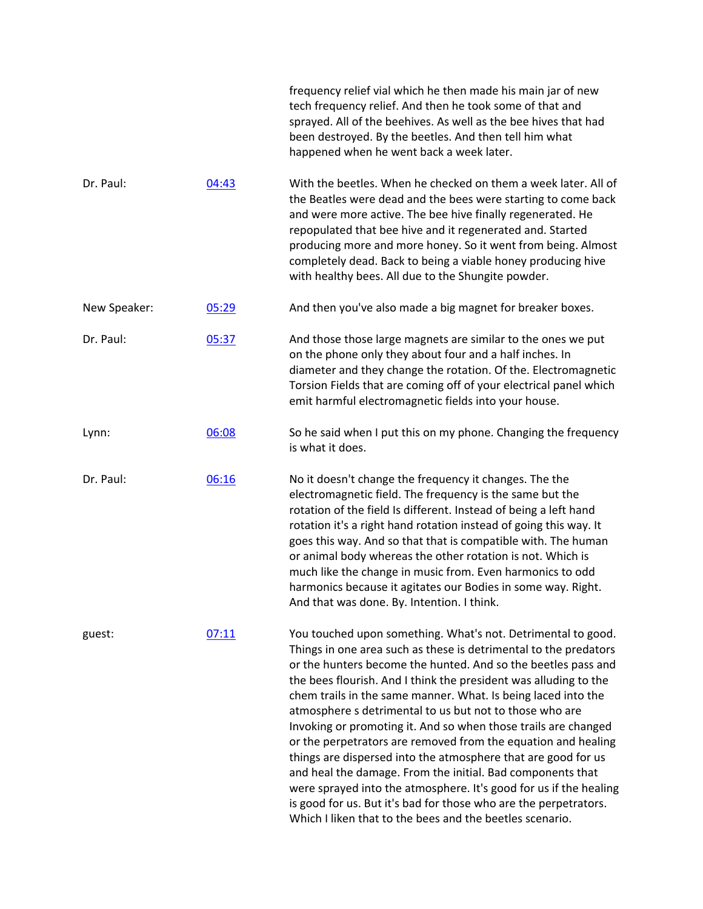|              |       | frequency relief vial which he then made his main jar of new<br>tech frequency relief. And then he took some of that and<br>sprayed. All of the beehives. As well as the bee hives that had<br>been destroyed. By the beetles. And then tell him what<br>happened when he went back a week later.                                                                                                                                                                                                                                                                                                                                                                                                                                                                                                                                                                        |
|--------------|-------|--------------------------------------------------------------------------------------------------------------------------------------------------------------------------------------------------------------------------------------------------------------------------------------------------------------------------------------------------------------------------------------------------------------------------------------------------------------------------------------------------------------------------------------------------------------------------------------------------------------------------------------------------------------------------------------------------------------------------------------------------------------------------------------------------------------------------------------------------------------------------|
| Dr. Paul:    | 04:43 | With the beetles. When he checked on them a week later. All of<br>the Beatles were dead and the bees were starting to come back<br>and were more active. The bee hive finally regenerated. He<br>repopulated that bee hive and it regenerated and. Started<br>producing more and more honey. So it went from being. Almost<br>completely dead. Back to being a viable honey producing hive<br>with healthy bees. All due to the Shungite powder.                                                                                                                                                                                                                                                                                                                                                                                                                         |
| New Speaker: | 05:29 | And then you've also made a big magnet for breaker boxes.                                                                                                                                                                                                                                                                                                                                                                                                                                                                                                                                                                                                                                                                                                                                                                                                                |
| Dr. Paul:    | 05:37 | And those those large magnets are similar to the ones we put<br>on the phone only they about four and a half inches. In<br>diameter and they change the rotation. Of the. Electromagnetic<br>Torsion Fields that are coming off of your electrical panel which<br>emit harmful electromagnetic fields into your house.                                                                                                                                                                                                                                                                                                                                                                                                                                                                                                                                                   |
| Lynn:        | 06:08 | So he said when I put this on my phone. Changing the frequency<br>is what it does.                                                                                                                                                                                                                                                                                                                                                                                                                                                                                                                                                                                                                                                                                                                                                                                       |
| Dr. Paul:    | 06:16 | No it doesn't change the frequency it changes. The the<br>electromagnetic field. The frequency is the same but the<br>rotation of the field Is different. Instead of being a left hand<br>rotation it's a right hand rotation instead of going this way. It<br>goes this way. And so that that is compatible with. The human<br>or animal body whereas the other rotation is not. Which is<br>much like the change in music from. Even harmonics to odd<br>harmonics because it agitates our Bodies in some way. Right.<br>And that was done. By. Intention. I think.                                                                                                                                                                                                                                                                                                    |
| guest:       | 07:11 | You touched upon something. What's not. Detrimental to good.<br>Things in one area such as these is detrimental to the predators<br>or the hunters become the hunted. And so the beetles pass and<br>the bees flourish. And I think the president was alluding to the<br>chem trails in the same manner. What. Is being laced into the<br>atmosphere s detrimental to us but not to those who are<br>Invoking or promoting it. And so when those trails are changed<br>or the perpetrators are removed from the equation and healing<br>things are dispersed into the atmosphere that are good for us<br>and heal the damage. From the initial. Bad components that<br>were sprayed into the atmosphere. It's good for us if the healing<br>is good for us. But it's bad for those who are the perpetrators.<br>Which I liken that to the bees and the beetles scenario. |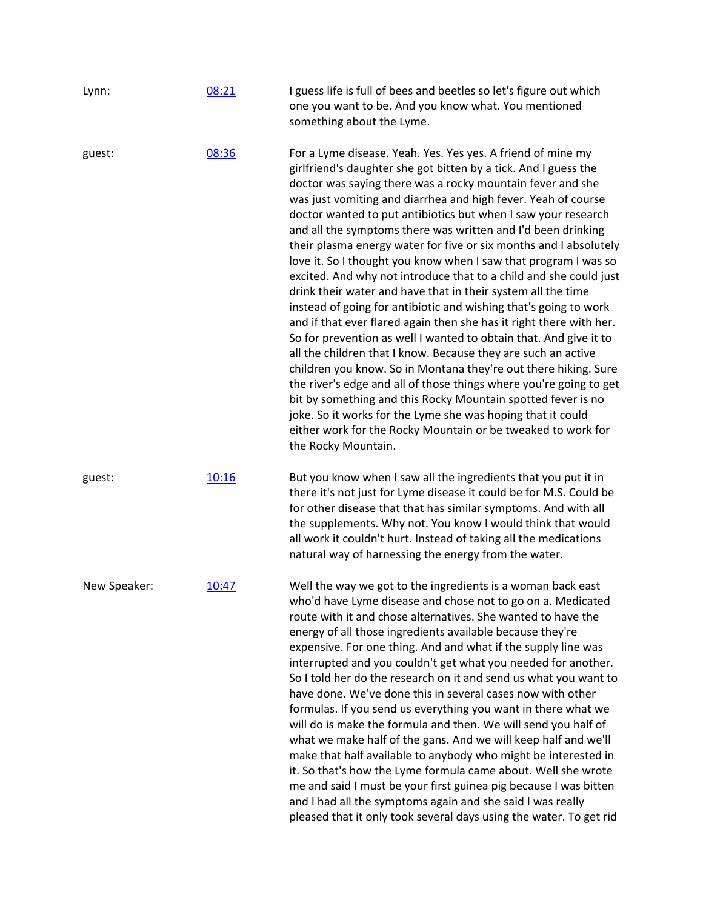| Lynn:        | 08:21 | I guess life is full of bees and beetles so let's figure out which<br>one you want to be. And you know what. You mentioned<br>something about the Lyme.                                                                                                                                                                                                                                                                                                                                                                                                                                                                                                                                                                                                                                                                                                                                                                                                                                                                                                                                                                                                                                                                                                                                                                     |
|--------------|-------|-----------------------------------------------------------------------------------------------------------------------------------------------------------------------------------------------------------------------------------------------------------------------------------------------------------------------------------------------------------------------------------------------------------------------------------------------------------------------------------------------------------------------------------------------------------------------------------------------------------------------------------------------------------------------------------------------------------------------------------------------------------------------------------------------------------------------------------------------------------------------------------------------------------------------------------------------------------------------------------------------------------------------------------------------------------------------------------------------------------------------------------------------------------------------------------------------------------------------------------------------------------------------------------------------------------------------------|
| guest:       | 08:36 | For a Lyme disease. Yeah. Yes. Yes yes. A friend of mine my<br>girlfriend's daughter she got bitten by a tick. And I guess the<br>doctor was saying there was a rocky mountain fever and she<br>was just vomiting and diarrhea and high fever. Yeah of course<br>doctor wanted to put antibiotics but when I saw your research<br>and all the symptoms there was written and I'd been drinking<br>their plasma energy water for five or six months and I absolutely<br>love it. So I thought you know when I saw that program I was so<br>excited. And why not introduce that to a child and she could just<br>drink their water and have that in their system all the time<br>instead of going for antibiotic and wishing that's going to work<br>and if that ever flared again then she has it right there with her.<br>So for prevention as well I wanted to obtain that. And give it to<br>all the children that I know. Because they are such an active<br>children you know. So in Montana they're out there hiking. Sure<br>the river's edge and all of those things where you're going to get<br>bit by something and this Rocky Mountain spotted fever is no<br>joke. So it works for the Lyme she was hoping that it could<br>either work for the Rocky Mountain or be tweaked to work for<br>the Rocky Mountain. |
| guest:       | 10:16 | But you know when I saw all the ingredients that you put it in<br>there it's not just for Lyme disease it could be for M.S. Could be<br>for other disease that that has similar symptoms. And with all<br>the supplements. Why not. You know I would think that would<br>all work it couldn't hurt. Instead of taking all the medications<br>natural way of harnessing the energy from the water.                                                                                                                                                                                                                                                                                                                                                                                                                                                                                                                                                                                                                                                                                                                                                                                                                                                                                                                           |
| New Speaker: | 10:47 | Well the way we got to the ingredients is a woman back east<br>who'd have Lyme disease and chose not to go on a. Medicated<br>route with it and chose alternatives. She wanted to have the<br>energy of all those ingredients available because they're<br>expensive. For one thing. And and what if the supply line was<br>interrupted and you couldn't get what you needed for another.<br>So I told her do the research on it and send us what you want to<br>have done. We've done this in several cases now with other<br>formulas. If you send us everything you want in there what we<br>will do is make the formula and then. We will send you half of<br>what we make half of the gans. And we will keep half and we'll<br>make that half available to anybody who might be interested in<br>it. So that's how the Lyme formula came about. Well she wrote<br>me and said I must be your first guinea pig because I was bitten<br>and I had all the symptoms again and she said I was really<br>pleased that it only took several days using the water. To get rid                                                                                                                                                                                                                                                 |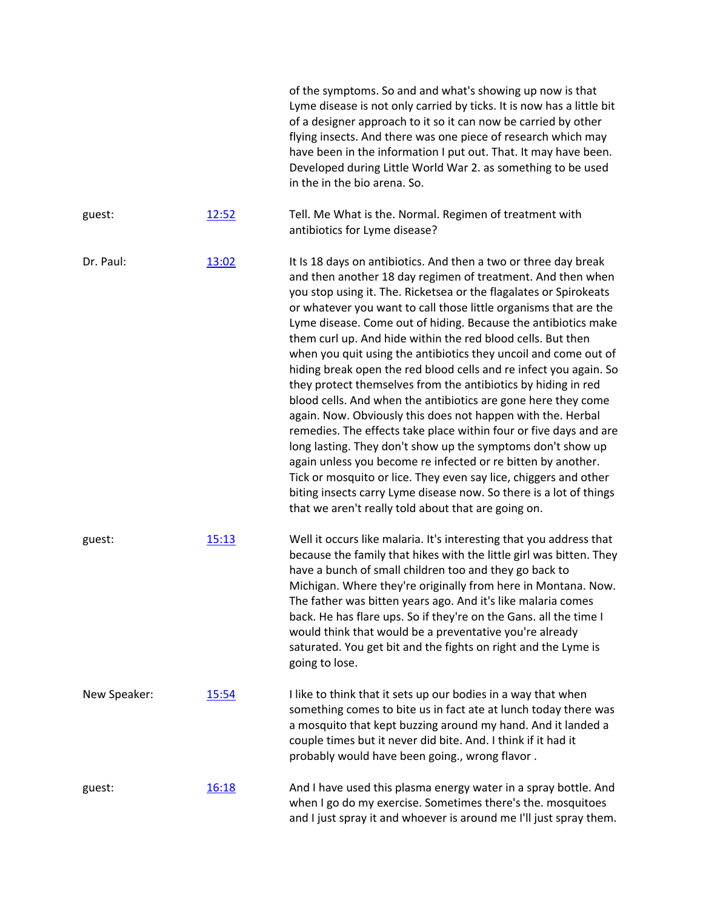|              |       | of the symptoms. So and and what's showing up now is that<br>Lyme disease is not only carried by ticks. It is now has a little bit<br>of a designer approach to it so it can now be carried by other<br>flying insects. And there was one piece of research which may<br>have been in the information I put out. That. It may have been.<br>Developed during Little World War 2. as something to be used<br>in the in the bio arena. So.                                                                                                                                                                                                                                                                                                                                                                                                                                                                                                                                                                                                                                                                                                               |
|--------------|-------|--------------------------------------------------------------------------------------------------------------------------------------------------------------------------------------------------------------------------------------------------------------------------------------------------------------------------------------------------------------------------------------------------------------------------------------------------------------------------------------------------------------------------------------------------------------------------------------------------------------------------------------------------------------------------------------------------------------------------------------------------------------------------------------------------------------------------------------------------------------------------------------------------------------------------------------------------------------------------------------------------------------------------------------------------------------------------------------------------------------------------------------------------------|
| guest:       | 12:52 | Tell. Me What is the. Normal. Regimen of treatment with<br>antibiotics for Lyme disease?                                                                                                                                                                                                                                                                                                                                                                                                                                                                                                                                                                                                                                                                                                                                                                                                                                                                                                                                                                                                                                                               |
| Dr. Paul:    | 13:02 | It Is 18 days on antibiotics. And then a two or three day break<br>and then another 18 day regimen of treatment. And then when<br>you stop using it. The. Ricketsea or the flagalates or Spirokeats<br>or whatever you want to call those little organisms that are the<br>Lyme disease. Come out of hiding. Because the antibiotics make<br>them curl up. And hide within the red blood cells. But then<br>when you quit using the antibiotics they uncoil and come out of<br>hiding break open the red blood cells and re infect you again. So<br>they protect themselves from the antibiotics by hiding in red<br>blood cells. And when the antibiotics are gone here they come<br>again. Now. Obviously this does not happen with the. Herbal<br>remedies. The effects take place within four or five days and are<br>long lasting. They don't show up the symptoms don't show up<br>again unless you become re infected or re bitten by another.<br>Tick or mosquito or lice. They even say lice, chiggers and other<br>biting insects carry Lyme disease now. So there is a lot of things<br>that we aren't really told about that are going on. |
| guest:       | 15:13 | Well it occurs like malaria. It's interesting that you address that<br>because the family that hikes with the little girl was bitten. They<br>have a bunch of small children too and they go back to<br>Michigan. Where they're originally from here in Montana. Now.<br>The father was bitten years ago. And it's like malaria comes<br>back. He has flare ups. So if they're on the Gans. all the time I<br>would think that would be a preventative you're already<br>saturated. You get bit and the fights on right and the Lyme is<br>going to lose.                                                                                                                                                                                                                                                                                                                                                                                                                                                                                                                                                                                              |
| New Speaker: | 15:54 | I like to think that it sets up our bodies in a way that when<br>something comes to bite us in fact ate at lunch today there was<br>a mosquito that kept buzzing around my hand. And it landed a<br>couple times but it never did bite. And. I think if it had it<br>probably would have been going., wrong flavor.                                                                                                                                                                                                                                                                                                                                                                                                                                                                                                                                                                                                                                                                                                                                                                                                                                    |
| guest:       | 16:18 | And I have used this plasma energy water in a spray bottle. And<br>when I go do my exercise. Sometimes there's the. mosquitoes<br>and I just spray it and whoever is around me I'll just spray them.                                                                                                                                                                                                                                                                                                                                                                                                                                                                                                                                                                                                                                                                                                                                                                                                                                                                                                                                                   |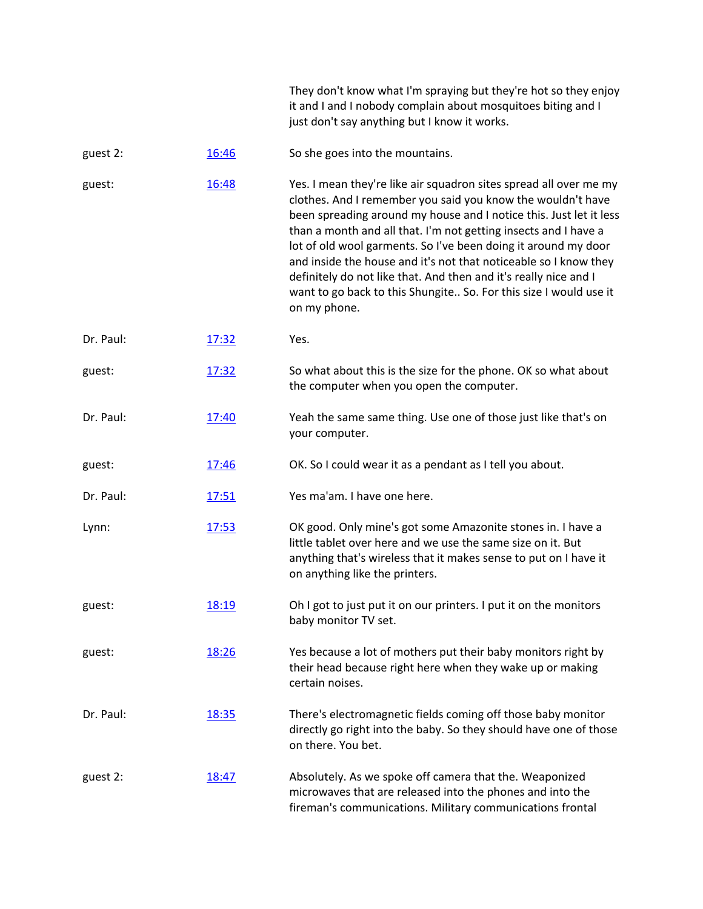They don't know what I'm spraying but they're hot so they enjoy it and I and I nobody complain about mosquitoes biting and I just don't say anything but I know it works.

## guest 2: [16:46](https://www.temi.com/editor/t/CvdyKbnHquKdWzH-ZGr-xSna5roPgASJi_F91SjRoMdaTCkT18QXhaAwfzb9vC3BIT0BoiS671sShXsBZ6i7q1klkf4?loadFrom=DocumentDeeplink&ts=1006.21) So she goes into the mountains.

guest: [16:48](https://www.temi.com/editor/t/CvdyKbnHquKdWzH-ZGr-xSna5roPgASJi_F91SjRoMdaTCkT18QXhaAwfzb9vC3BIT0BoiS671sShXsBZ6i7q1klkf4?loadFrom=DocumentDeeplink&ts=1008.23) Yes. I mean they're like air squadron sites spread all over me my clothes. And I remember you said you know the wouldn't have been spreading around my house and I notice this. Just let it less than a month and all that. I'm not getting insects and I have a lot of old wool garments. So I've been doing it around my door and inside the house and it's not that noticeable so I know they definitely do not like that. And then and it's really nice and I want to go back to this Shungite.. So. For this size I would use it on my phone.

Dr. Paul: [17:32](https://www.temi.com/editor/t/CvdyKbnHquKdWzH-ZGr-xSna5roPgASJi_F91SjRoMdaTCkT18QXhaAwfzb9vC3BIT0BoiS671sShXsBZ6i7q1klkf4?loadFrom=DocumentDeeplink&ts=1052.28) Yes.

guest: [17:32](https://www.temi.com/editor/t/CvdyKbnHquKdWzH-ZGr-xSna5roPgASJi_F91SjRoMdaTCkT18QXhaAwfzb9vC3BIT0BoiS671sShXsBZ6i7q1klkf4?loadFrom=DocumentDeeplink&ts=1052.59) So what about this is the size for the phone. OK so what about the computer when you open the computer.

- Dr. Paul: [17:40](https://www.temi.com/editor/t/CvdyKbnHquKdWzH-ZGr-xSna5roPgASJi_F91SjRoMdaTCkT18QXhaAwfzb9vC3BIT0BoiS671sShXsBZ6i7q1klkf4?loadFrom=DocumentDeeplink&ts=1060.53) Yeah the same same thing. Use one of those just like that's on your computer.
- guest: [17:46](https://www.temi.com/editor/t/CvdyKbnHquKdWzH-ZGr-xSna5roPgASJi_F91SjRoMdaTCkT18QXhaAwfzb9vC3BIT0BoiS671sShXsBZ6i7q1klkf4?loadFrom=DocumentDeeplink&ts=1066.61) OK. So I could wear it as a pendant as I tell you about.
- Dr. Paul: [17:51](https://www.temi.com/editor/t/CvdyKbnHquKdWzH-ZGr-xSna5roPgASJi_F91SjRoMdaTCkT18QXhaAwfzb9vC3BIT0BoiS671sShXsBZ6i7q1klkf4?loadFrom=DocumentDeeplink&ts=1071.07) Yes ma'am. I have one here.

Lynn: [17:53](https://www.temi.com/editor/t/CvdyKbnHquKdWzH-ZGr-xSna5roPgASJi_F91SjRoMdaTCkT18QXhaAwfzb9vC3BIT0BoiS671sShXsBZ6i7q1klkf4?loadFrom=DocumentDeeplink&ts=1073.18) OK good. Only mine's got some Amazonite stones in. I have a little tablet over here and we use the same size on it. But anything that's wireless that it makes sense to put on I have it on anything like the printers.

guest: [18:19](https://www.temi.com/editor/t/CvdyKbnHquKdWzH-ZGr-xSna5roPgASJi_F91SjRoMdaTCkT18QXhaAwfzb9vC3BIT0BoiS671sShXsBZ6i7q1klkf4?loadFrom=DocumentDeeplink&ts=1099.34) Oh I got to just put it on our printers. I put it on the monitors baby monitor TV set.

guest: [18:26](https://www.temi.com/editor/t/CvdyKbnHquKdWzH-ZGr-xSna5roPgASJi_F91SjRoMdaTCkT18QXhaAwfzb9vC3BIT0BoiS671sShXsBZ6i7q1klkf4?loadFrom=DocumentDeeplink&ts=1106.36) Yes because a lot of mothers put their baby monitors right by their head because right here when they wake up or making certain noises.

Dr. Paul: [18:35](https://www.temi.com/editor/t/CvdyKbnHquKdWzH-ZGr-xSna5roPgASJi_F91SjRoMdaTCkT18QXhaAwfzb9vC3BIT0BoiS671sShXsBZ6i7q1klkf4?loadFrom=DocumentDeeplink&ts=1115.54) There's electromagnetic fields coming off those baby monitor directly go right into the baby. So they should have one of those on there. You bet.

guest 2: [18:47](https://www.temi.com/editor/t/CvdyKbnHquKdWzH-ZGr-xSna5roPgASJi_F91SjRoMdaTCkT18QXhaAwfzb9vC3BIT0BoiS671sShXsBZ6i7q1klkf4?loadFrom=DocumentDeeplink&ts=1127.95) Absolutely. As we spoke off camera that the. Weaponized microwaves that are released into the phones and into the fireman's communications. Military communications frontal